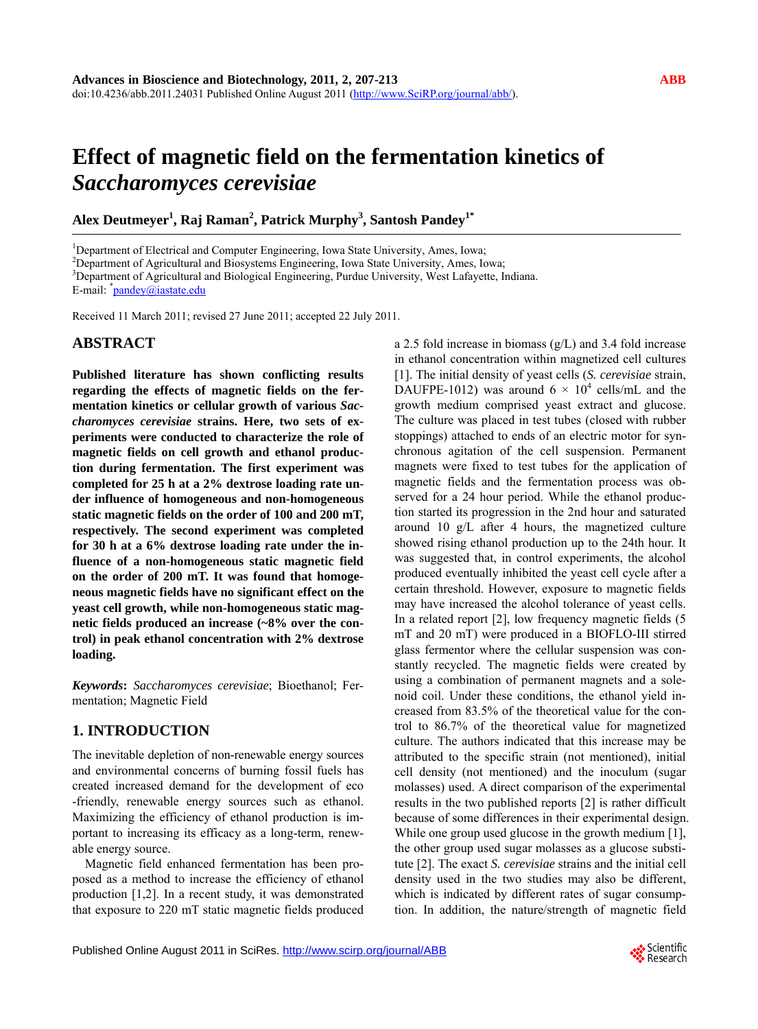# **Effect of magnetic field on the fermentation kinetics of**  *Saccharomyces cerevisiae*

**Alex Deutmeyer1 , Raj Raman<sup>2</sup> , Patrick Murphy<sup>3</sup> , Santosh Pandey1\***

<sup>1</sup>Department of Electrical and Computer Engineering, Iowa State University, Ames, Iowa;<br><sup>2</sup>Department of Agricultural and Biogrations Engineering, Iowa State University, Ames, Io

<sup>2</sup>Department of Agricultural and Biosystems Engineering, Iowa State University, Ames, Iowa;

<sup>3</sup>Department of Agricultural and Biological Engineering, Purdue University, West Lafayette, Indiana.

E-mail: *\*pandey@iastate.edu* 

Received 11 March 2011; revised 27 June 2011; accepted 22 July 2011.

# **ABSTRACT**

**Published literature has shown conflicting results regarding the effects of magnetic fields on the fermentation kinetics or cellular growth of various** *Saccharomyces cerevisiae* **strains. Here, two sets of experiments were conducted to characterize the role of magnetic fields on cell growth and ethanol production during fermentation. The first experiment was completed for 25 h at a 2% dextrose loading rate under influence of homogeneous and non-homogeneous static magnetic fields on the order of 100 and 200 mT, respectively. The second experiment was completed for 30 h at a 6% dextrose loading rate under the influence of a non-homogeneous static magnetic field on the order of 200 mT. It was found that homogeneous magnetic fields have no significant effect on the yeast cell growth, while non-homogeneous static magnetic fields produced an increase (~8% over the control) in peak ethanol concentration with 2% dextrose loading.** 

*Keywords***:** *Saccharomyces cerevisiae*; Bioethanol; Fermentation; Magnetic Field

# **1. INTRODUCTION**

The inevitable depletion of non-renewable energy sources and environmental concerns of burning fossil fuels has created increased demand for the development of eco -friendly, renewable energy sources such as ethanol. Maximizing the efficiency of ethanol production is important to increasing its efficacy as a long-term, renewable energy source.

Magnetic field enhanced fermentation has been proposed as a method to increase the efficiency of ethanol production [1,2]. In a recent study, it was demonstrated that exposure to 220 mT static magnetic fields produced a 2.5 fold increase in biomass (g/L) and 3.4 fold increase in ethanol concentration within magnetized cell cultures [1]. The initial density of yeast cells (*S. cerevisiae* strain, DAUFPE-1012) was around  $6 \times 10^4$  cells/mL and the growth medium comprised yeast extract and glucose. The culture was placed in test tubes (closed with rubber stoppings) attached to ends of an electric motor for synchronous agitation of the cell suspension. Permanent magnets were fixed to test tubes for the application of magnetic fields and the fermentation process was observed for a 24 hour period. While the ethanol production started its progression in the 2nd hour and saturated around 10 g/L after 4 hours, the magnetized culture showed rising ethanol production up to the 24th hour. It was suggested that, in control experiments, the alcohol produced eventually inhibited the yeast cell cycle after a certain threshold. However, exposure to magnetic fields may have increased the alcohol tolerance of yeast cells. In a related report [2], low frequency magnetic fields (5 mT and 20 mT) were produced in a BIOFLO-III stirred glass fermentor where the cellular suspension was constantly recycled. The magnetic fields were created by using a combination of permanent magnets and a solenoid coil. Under these conditions, the ethanol yield increased from 83.5% of the theoretical value for the control to 86.7% of the theoretical value for magnetized culture. The authors indicated that this increase may be attributed to the specific strain (not mentioned), initial cell density (not mentioned) and the inoculum (sugar molasses) used. A direct comparison of the experimental results in the two published reports [2] is rather difficult because of some differences in their experimental design. While one group used glucose in the growth medium [1], the other group used sugar molasses as a glucose substitute [2]. The exact *S. cerevisiae* strains and the initial cell density used in the two studies may also be different, which is indicated by different rates of sugar consumption. In addition, the nature/strength of magnetic field

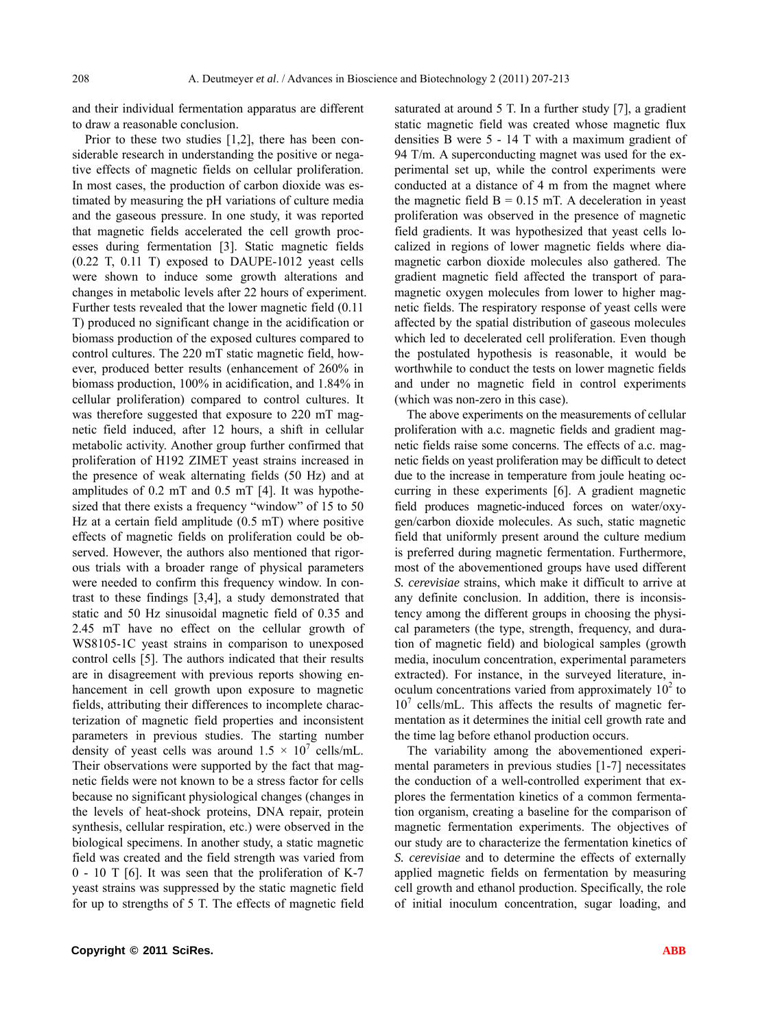and their individual fermentation apparatus are different to draw a reasonable conclusion.

Prior to these two studies [1,2], there has been considerable research in understanding the positive or negative effects of magnetic fields on cellular proliferation. In most cases, the production of carbon dioxide was estimated by measuring the pH variations of culture media and the gaseous pressure. In one study, it was reported that magnetic fields accelerated the cell growth processes during fermentation [3]. Static magnetic fields (0.22 T, 0.11 T) exposed to DAUPE-1012 yeast cells were shown to induce some growth alterations and changes in metabolic levels after 22 hours of experiment. Further tests revealed that the lower magnetic field (0.11 T) produced no significant change in the acidification or biomass production of the exposed cultures compared to control cultures. The 220 mT static magnetic field, however, produced better results (enhancement of 260% in biomass production, 100% in acidification, and 1.84% in cellular proliferation) compared to control cultures. It was therefore suggested that exposure to 220 mT magnetic field induced, after 12 hours, a shift in cellular metabolic activity. Another group further confirmed that proliferation of H192 ZIMET yeast strains increased in the presence of weak alternating fields (50 Hz) and at amplitudes of 0.2 mT and 0.5 mT [4]. It was hypothesized that there exists a frequency "window" of 15 to 50 Hz at a certain field amplitude (0.5 mT) where positive effects of magnetic fields on proliferation could be observed. However, the authors also mentioned that rigorous trials with a broader range of physical parameters were needed to confirm this frequency window. In contrast to these findings [3,4], a study demonstrated that static and 50 Hz sinusoidal magnetic field of 0.35 and 2.45 mT have no effect on the cellular growth of WS8105-1C yeast strains in comparison to unexposed control cells [5]. The authors indicated that their results are in disagreement with previous reports showing enhancement in cell growth upon exposure to magnetic fields, attributing their differences to incomplete characterization of magnetic field properties and inconsistent parameters in previous studies. The starting number density of yeast cells was around  $1.5 \times 10^7$  cells/mL. Their observations were supported by the fact that magnetic fields were not known to be a stress factor for cells because no significant physiological changes (changes in the levels of heat-shock proteins, DNA repair, protein synthesis, cellular respiration, etc.) were observed in the biological specimens. In another study, a static magnetic field was created and the field strength was varied from 0 - 10 T [6]. It was seen that the proliferation of K-7 yeast strains was suppressed by the static magnetic field for up to strengths of 5 T. The effects of magnetic field

saturated at around 5 T. In a further study [7], a gradient static magnetic field was created whose magnetic flux densities B were 5 - 14 T with a maximum gradient of 94 T/m. A superconducting magnet was used for the experimental set up, while the control experiments were conducted at a distance of 4 m from the magnet where the magnetic field  $B = 0.15$  mT. A deceleration in yeast proliferation was observed in the presence of magnetic field gradients. It was hypothesized that yeast cells localized in regions of lower magnetic fields where diamagnetic carbon dioxide molecules also gathered. The gradient magnetic field affected the transport of paramagnetic oxygen molecules from lower to higher magnetic fields. The respiratory response of yeast cells were affected by the spatial distribution of gaseous molecules which led to decelerated cell proliferation. Even though the postulated hypothesis is reasonable, it would be worthwhile to conduct the tests on lower magnetic fields and under no magnetic field in control experiments (which was non-zero in this case).

The above experiments on the measurements of cellular proliferation with a.c. magnetic fields and gradient magnetic fields raise some concerns. The effects of a.c. magnetic fields on yeast proliferation may be difficult to detect due to the increase in temperature from joule heating occurring in these experiments [6]. A gradient magnetic field produces magnetic-induced forces on water/oxygen/carbon dioxide molecules. As such, static magnetic field that uniformly present around the culture medium is preferred during magnetic fermentation. Furthermore, most of the abovementioned groups have used different *S. cerevisiae* strains, which make it difficult to arrive at any definite conclusion. In addition, there is inconsistency among the different groups in choosing the physical parameters (the type, strength, frequency, and duration of magnetic field) and biological samples (growth media, inoculum concentration, experimental parameters extracted). For instance, in the surveyed literature, inoculum concentrations varied from approximately  $10^2$  to 10<sup>7</sup> cells/mL. This affects the results of magnetic fermentation as it determines the initial cell growth rate and the time lag before ethanol production occurs.

The variability among the abovementioned experimental parameters in previous studies [1-7] necessitates the conduction of a well-controlled experiment that explores the fermentation kinetics of a common fermentation organism, creating a baseline for the comparison of magnetic fermentation experiments. The objectives of our study are to characterize the fermentation kinetics of *S. cerevisiae* and to determine the effects of externally applied magnetic fields on fermentation by measuring cell growth and ethanol production. Specifically, the role of initial inoculum concentration, sugar loading, and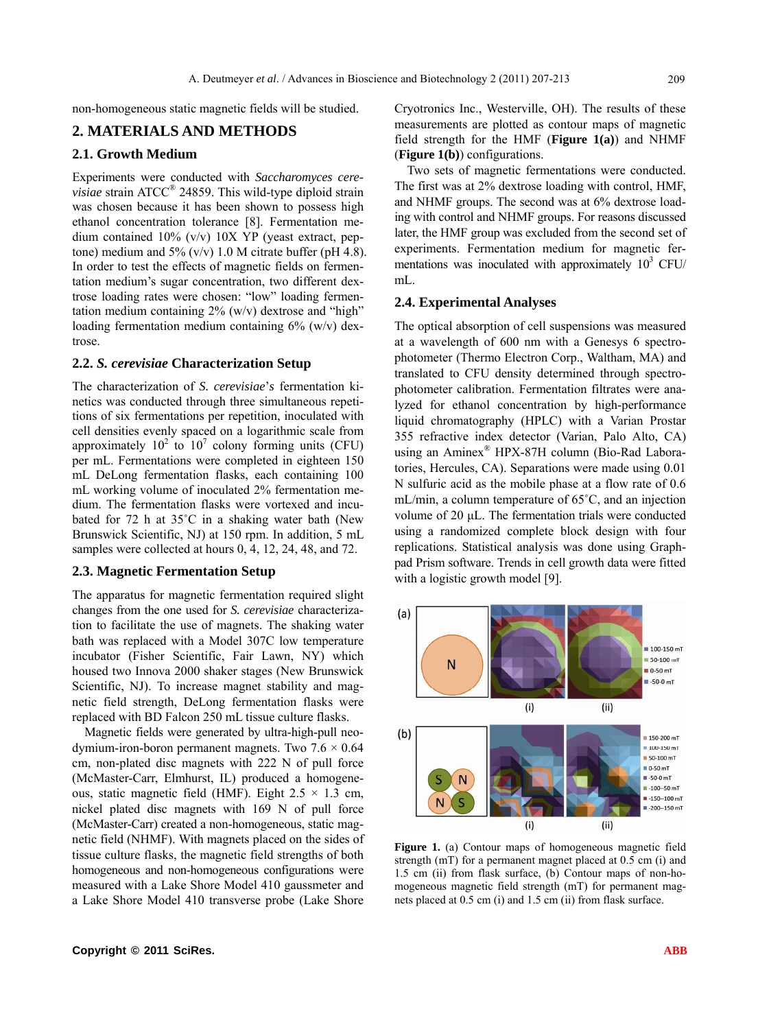non-homogeneous static magnetic fields will be studied.

#### **2. MATERIALS AND METHODS**

#### **2.1. Growth Medium**

Experiments were conducted with *Saccharomyces cerevisiae* strain ATCC® 24859. This wild-type diploid strain was chosen because it has been shown to possess high ethanol concentration tolerance [8]. Fermentation medium contained 10% (v/v) 10X YP (yeast extract, peptone) medium and 5%  $(v/v)$  1.0 M citrate buffer (pH 4.8). In order to test the effects of magnetic fields on fermentation medium's sugar concentration, two different dextrose loading rates were chosen: "low" loading fermentation medium containing  $2\%$  (w/v) dextrose and "high" loading fermentation medium containing  $6\%$  (w/v) dextrose.

#### **2.2.** *S. cerevisiae* **Characterization Setup**

The characterization of *S. cerevisiae*'*s* fermentation kinetics was conducted through three simultaneous repetitions of six fermentations per repetition, inoculated with cell densities evenly spaced on a logarithmic scale from approximately  $10^2$  to  $10^7$  colony forming units (CFU) per mL. Fermentations were completed in eighteen 150 mL DeLong fermentation flasks, each containing 100 mL working volume of inoculated 2% fermentation medium. The fermentation flasks were vortexed and incubated for 72 h at 35˚C in a shaking water bath (New Brunswick Scientific, NJ) at 150 rpm. In addition, 5 mL samples were collected at hours 0, 4, 12, 24, 48, and 72.

#### **2.3. Magnetic Fermentation Setup**

The apparatus for magnetic fermentation required slight changes from the one used for *S. cerevisiae* characterization to facilitate the use of magnets. The shaking water bath was replaced with a Model 307C low temperature incubator (Fisher Scientific, Fair Lawn, NY) which housed two Innova 2000 shaker stages (New Brunswick Scientific, NJ). To increase magnet stability and magnetic field strength, DeLong fermentation flasks were replaced with BD Falcon 250 mL tissue culture flasks.

Magnetic fields were generated by ultra-high-pull neodymium-iron-boron permanent magnets. Two  $7.6 \times 0.64$ cm, non-plated disc magnets with 222 N of pull force (McMaster-Carr, Elmhurst, IL) produced a homogeneous, static magnetic field (HMF). Eight  $2.5 \times 1.3$  cm, nickel plated disc magnets with 169 N of pull force (McMaster-Carr) created a non-homogeneous, static magnetic field (NHMF). With magnets placed on the sides of tissue culture flasks, the magnetic field strengths of both homogeneous and non-homogeneous configurations were measured with a Lake Shore Model 410 gaussmeter and a Lake Shore Model 410 transverse probe (Lake Shore

Cryotronics Inc., Westerville, OH). The results of these measurements are plotted as contour maps of magnetic field strength for the HMF (**Figure 1(a)**) and NHMF (**Figure 1(b)**) configurations.

Two sets of magnetic fermentations were conducted. The first was at 2% dextrose loading with control, HMF, and NHMF groups. The second was at 6% dextrose loading with control and NHMF groups. For reasons discussed later, the HMF group was excluded from the second set of experiments. Fermentation medium for magnetic fermentations was inoculated with approximately  $10^3$  CFU/ mL.

#### **2.4. Experimental Analyses**

The optical absorption of cell suspensions was measured at a wavelength of 600 nm with a Genesys 6 spectrophotometer (Thermo Electron Corp., Waltham, MA) and translated to CFU density determined through spectrophotometer calibration. Fermentation filtrates were analyzed for ethanol concentration by high-performance liquid chromatography (HPLC) with a Varian Prostar 355 refractive index detector (Varian, Palo Alto, CA) using an Aminex® HPX-87H column (Bio-Rad Laboratories, Hercules, CA). Separations were made using 0.01 N sulfuric acid as the mobile phase at a flow rate of 0.6 mL/min, a column temperature of 65˚C, and an injection volume of 20 μL. The fermentation trials were conducted using a randomized complete block design with four replications. Statistical analysis was done using Graphpad Prism software. Trends in cell growth data were fitted with a logistic growth model [9].



**Figure 1.** (a) Contour maps of homogeneous magnetic field strength (mT) for a permanent magnet placed at 0.5 cm (i) and 1.5 cm (ii) from flask surface, (b) Contour maps of non-homogeneous magnetic field strength (mT) for permanent magnets placed at 0.5 cm (i) and 1.5 cm (ii) from flask surface.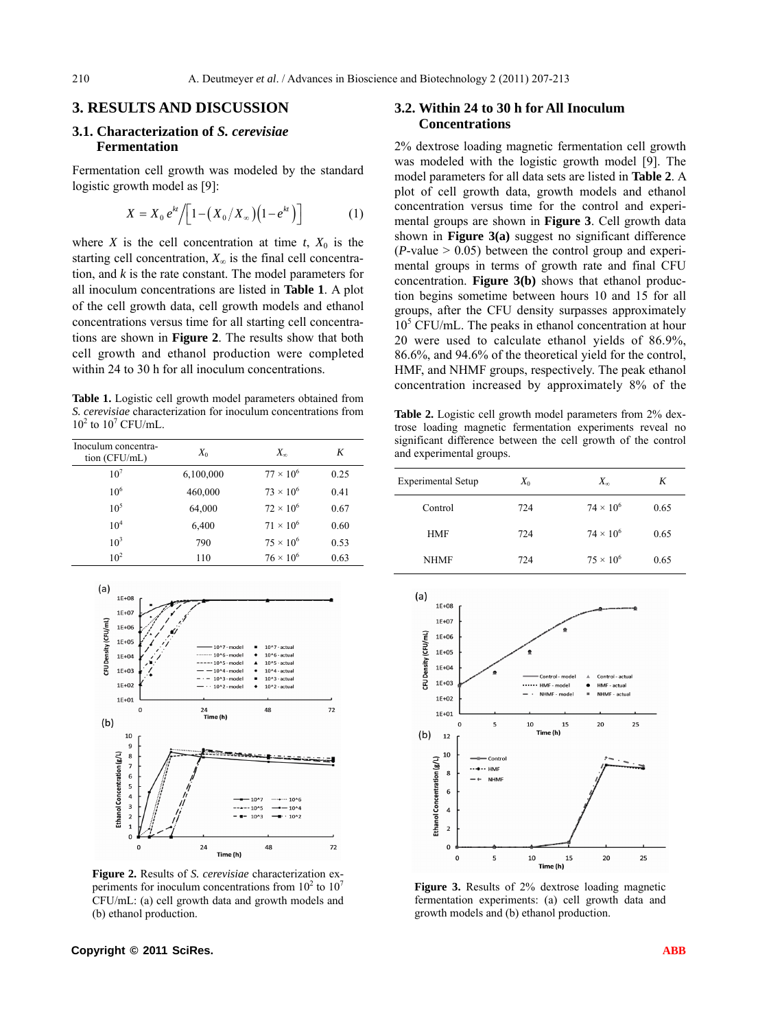#### **3. RESULTS AND DISCUSSION**

#### **3.1. Characterization of** *S. cerevisiae*  **Fermentation**

Fermentation cell growth was modeled by the standard logistic growth model as [9]:

$$
X = X_0 e^{kt} / \left[ 1 - \left( X_0 / X_\infty \right) \left( 1 - e^{kt} \right) \right] \tag{1}
$$

where *X* is the cell concentration at time  $t$ ,  $X_0$  is the starting cell concentration,  $X_{\infty}$  is the final cell concentration, and *k* is the rate constant. The model parameters for all inoculum concentrations are listed in **Table 1**. A plot of the cell growth data, cell growth models and ethanol concentrations versus time for all starting cell concentrations are shown in **Figure 2**. The results show that both cell growth and ethanol production were completed within 24 to 30 h for all inoculum concentrations.

**Table 1.** Logistic cell growth model parameters obtained from *S. cerevisiae* characterization for inoculum concentrations from  $10^2$  to  $10^7$  CFU/mL.

| Inoculum concentra-<br>tion (CFU/mL) | $X_0$     | $X_{\infty}$       | K    |
|--------------------------------------|-----------|--------------------|------|
| 10 <sup>7</sup>                      | 6,100,000 | $77 \times 10^{6}$ | 0.25 |
| 10 <sup>6</sup>                      | 460,000   | $73 \times 10^{6}$ | 0.41 |
| $10^{5}$                             | 64,000    | $72 \times 10^{6}$ | 0.67 |
| 10 <sup>4</sup>                      | 6,400     | $71 \times 10^{6}$ | 0.60 |
| $10^3$                               | 790       | $75 \times 10^{6}$ | 0.53 |
| $10^2$                               | 110       | $76 \times 10^{6}$ | 0.63 |



**Figure 2.** Results of *S. cerevisiae* characterization experiments for inoculum concentrations from  $10^2$  to  $10^7$ CFU/mL: (a) cell growth data and growth models and (b) ethanol production.

## **3.2. Within 24 to 30 h for All Inoculum Concentrations**

2% dextrose loading magnetic fermentation cell growth was modeled with the logistic growth model [9]. The model parameters for all data sets are listed in **Table 2**. A plot of cell growth data, growth models and ethanol concentration versus time for the control and experimental groups are shown in **Figure 3**. Cell growth data shown in **Figure 3(a)** suggest no significant difference  $(P\text{-value} > 0.05)$  between the control group and experimental groups in terms of growth rate and final CFU concentration. **Figure 3(b)** shows that ethanol production begins sometime between hours 10 and 15 for all groups, after the CFU density surpasses approximately 10<sup>5</sup> CFU/mL. The peaks in ethanol concentration at hour 20 were used to calculate ethanol yields of 86.9%, 86.6%, and 94.6% of the theoretical yield for the control, HMF, and NHMF groups, respectively. The peak ethanol concentration increased by approximately 8% of the

**Table 2.** Logistic cell growth model parameters from 2% dextrose loading magnetic fermentation experiments reveal no significant difference between the cell growth of the control and experimental groups.

| <b>Experimental Setup</b> | $X_0$ | $X_{\infty}$       | K    |
|---------------------------|-------|--------------------|------|
| Control                   | 724   | $74 \times 10^{6}$ | 0.65 |
| <b>HMF</b>                | 724   | $74 \times 10^{6}$ | 0.65 |
| <b>NHMF</b>               | 724   | $75 \times 10^{6}$ | 0.65 |
|                           |       |                    |      |



**Figure 3.** Results of 2% dextrose loading magnetic fermentation experiments: (a) cell growth data and growth models and (b) ethanol production.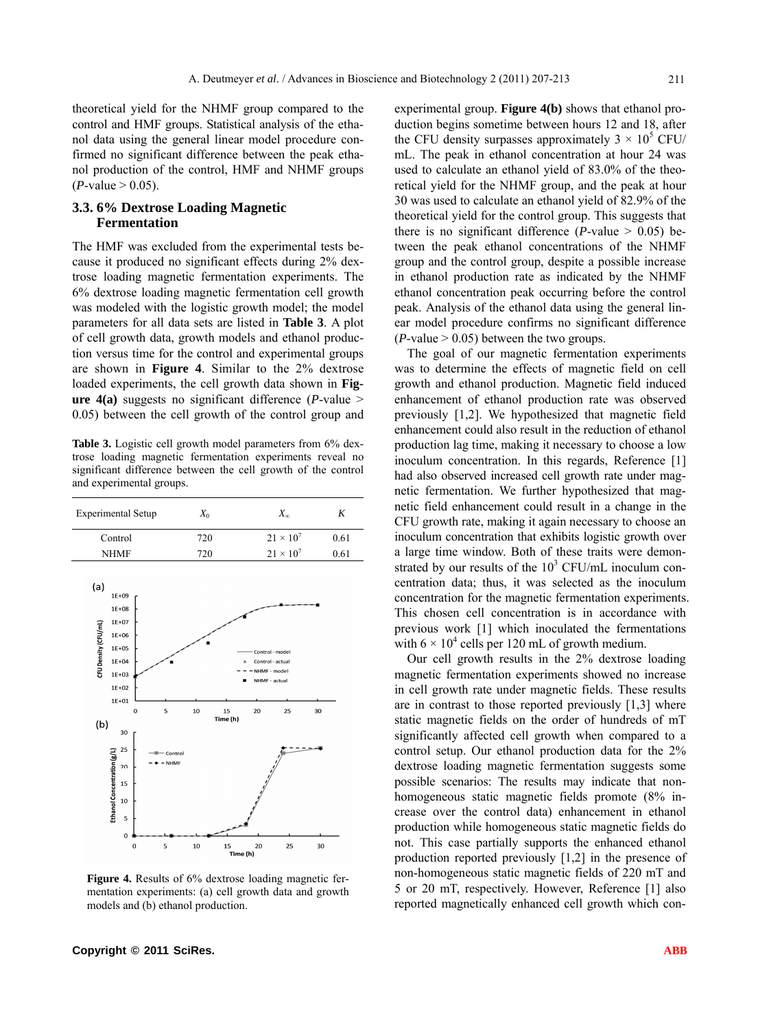theoretical yield for the NHMF group compared to the control and HMF groups. Statistical analysis of the ethanol data using the general linear model procedure confirmed no significant difference between the peak ethanol production of the control, HMF and NHMF groups  $(P$ -value  $> 0.05$ ).

#### **3.3. 6% Dextrose Loading Magnetic Fermentation**

The HMF was excluded from the experimental tests because it produced no significant effects during 2% dextrose loading magnetic fermentation experiments. The 6% dextrose loading magnetic fermentation cell growth was modeled with the logistic growth model; the model parameters for all data sets are listed in **Table 3**. A plot of cell growth data, growth models and ethanol production versus time for the control and experimental groups are shown in **Figure 4**. Similar to the 2% dextrose loaded experiments, the cell growth data shown in **Figure 4(a)** suggests no significant difference (*P*-value > 0.05) between the cell growth of the control group and

**Table 3.** Logistic cell growth model parameters from 6% dextrose loading magnetic fermentation experiments reveal no significant difference between the cell growth of the control and experimental groups.



**Figure 4.** Results of 6% dextrose loading magnetic fermentation experiments: (a) cell growth data and growth models and (b) ethanol production.

experimental group. **Figure 4(b)** shows that ethanol production begins sometime between hours 12 and 18, after the CFU density surpasses approximately  $3 \times 10^5$  CFU/ mL. The peak in ethanol concentration at hour 24 was used to calculate an ethanol yield of 83.0% of the theoretical yield for the NHMF group, and the peak at hour 30 was used to calculate an ethanol yield of 82.9% of the theoretical yield for the control group. This suggests that there is no significant difference ( $P$ -value  $> 0.05$ ) between the peak ethanol concentrations of the NHMF group and the control group, despite a possible increase in ethanol production rate as indicated by the NHMF ethanol concentration peak occurring before the control peak. Analysis of the ethanol data using the general linear model procedure confirms no significant difference  $(P$ -value  $> 0.05$ ) between the two groups.

The goal of our magnetic fermentation experiments was to determine the effects of magnetic field on cell growth and ethanol production. Magnetic field induced enhancement of ethanol production rate was observed previously [1,2]. We hypothesized that magnetic field enhancement could also result in the reduction of ethanol production lag time, making it necessary to choose a low inoculum concentration. In this regards, Reference [1] had also observed increased cell growth rate under magnetic fermentation. We further hypothesized that magnetic field enhancement could result in a change in the CFU growth rate, making it again necessary to choose an inoculum concentration that exhibits logistic growth over a large time window. Both of these traits were demonstrated by our results of the  $10<sup>3</sup>$  CFU/mL inoculum concentration data; thus, it was selected as the inoculum concentration for the magnetic fermentation experiments. This chosen cell concentration is in accordance with previous work [1] which inoculated the fermentations with  $6 \times 10^4$  cells per 120 mL of growth medium.

Our cell growth results in the 2% dextrose loading magnetic fermentation experiments showed no increase in cell growth rate under magnetic fields. These results are in contrast to those reported previously [1,3] where static magnetic fields on the order of hundreds of mT significantly affected cell growth when compared to a control setup. Our ethanol production data for the 2% dextrose loading magnetic fermentation suggests some possible scenarios: The results may indicate that nonhomogeneous static magnetic fields promote (8% increase over the control data) enhancement in ethanol production while homogeneous static magnetic fields do not. This case partially supports the enhanced ethanol production reported previously [1,2] in the presence of non-homogeneous static magnetic fields of 220 mT and 5 or 20 mT, respectively. However, Reference [1] also reported magnetically enhanced cell growth which con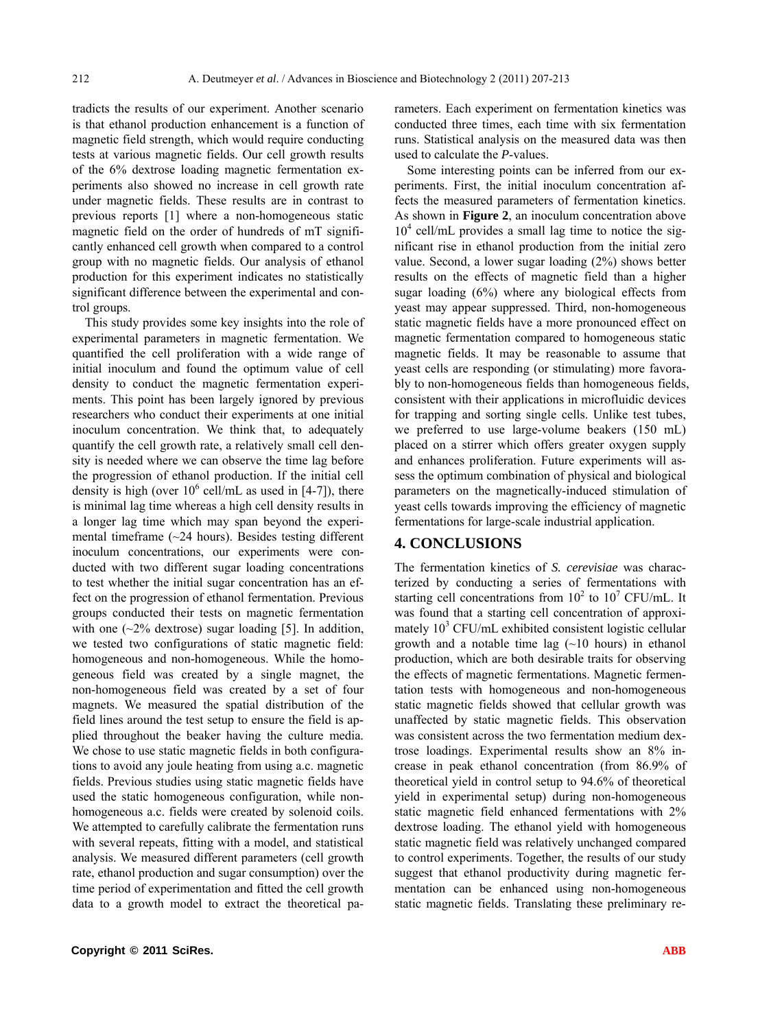tradicts the results of our experiment. Another scenario is that ethanol production enhancement is a function of magnetic field strength, which would require conducting tests at various magnetic fields. Our cell growth results of the 6% dextrose loading magnetic fermentation experiments also showed no increase in cell growth rate under magnetic fields. These results are in contrast to previous reports [1] where a non-homogeneous static magnetic field on the order of hundreds of mT significantly enhanced cell growth when compared to a control group with no magnetic fields. Our analysis of ethanol production for this experiment indicates no statistically significant difference between the experimental and control groups.

This study provides some key insights into the role of experimental parameters in magnetic fermentation. We quantified the cell proliferation with a wide range of initial inoculum and found the optimum value of cell density to conduct the magnetic fermentation experiments. This point has been largely ignored by previous researchers who conduct their experiments at one initial inoculum concentration. We think that, to adequately quantify the cell growth rate, a relatively small cell density is needed where we can observe the time lag before the progression of ethanol production. If the initial cell density is high (over  $10^6$  cell/mL as used in [4-7]), there is minimal lag time whereas a high cell density results in a longer lag time which may span beyond the experimental timeframe (~24 hours). Besides testing different inoculum concentrations, our experiments were conducted with two different sugar loading concentrations to test whether the initial sugar concentration has an effect on the progression of ethanol fermentation. Previous groups conducted their tests on magnetic fermentation with one  $(\sim 2\%$  dextrose) sugar loading [5]. In addition, we tested two configurations of static magnetic field: homogeneous and non-homogeneous. While the homogeneous field was created by a single magnet, the non-homogeneous field was created by a set of four magnets. We measured the spatial distribution of the field lines around the test setup to ensure the field is applied throughout the beaker having the culture media. We chose to use static magnetic fields in both configurations to avoid any joule heating from using a.c. magnetic fields. Previous studies using static magnetic fields have used the static homogeneous configuration, while nonhomogeneous a.c. fields were created by solenoid coils. We attempted to carefully calibrate the fermentation runs with several repeats, fitting with a model, and statistical analysis. We measured different parameters (cell growth rate, ethanol production and sugar consumption) over the time period of experimentation and fitted the cell growth data to a growth model to extract the theoretical parameters. Each experiment on fermentation kinetics was conducted three times, each time with six fermentation runs. Statistical analysis on the measured data was then used to calculate the *P*-values.

Some interesting points can be inferred from our experiments. First, the initial inoculum concentration affects the measured parameters of fermentation kinetics. As shown in **Figure 2**, an inoculum concentration above 10<sup>4</sup> cell/mL provides a small lag time to notice the significant rise in ethanol production from the initial zero value. Second, a lower sugar loading (2%) shows better results on the effects of magnetic field than a higher sugar loading (6%) where any biological effects from yeast may appear suppressed. Third, non-homogeneous static magnetic fields have a more pronounced effect on magnetic fermentation compared to homogeneous static magnetic fields. It may be reasonable to assume that yeast cells are responding (or stimulating) more favorably to non-homogeneous fields than homogeneous fields, consistent with their applications in microfluidic devices for trapping and sorting single cells. Unlike test tubes, we preferred to use large-volume beakers (150 mL) placed on a stirrer which offers greater oxygen supply and enhances proliferation. Future experiments will assess the optimum combination of physical and biological parameters on the magnetically-induced stimulation of yeast cells towards improving the efficiency of magnetic fermentations for large-scale industrial application.

## **4. CONCLUSIONS**

The fermentation kinetics of *S. cerevisiae* was characterized by conducting a series of fermentations with starting cell concentrations from  $10^2$  to  $10^7$  CFU/mL. It was found that a starting cell concentration of approximately 10<sup>3</sup> CFU/mL exhibited consistent logistic cellular growth and a notable time lag  $(\sim 10$  hours) in ethanol production, which are both desirable traits for observing the effects of magnetic fermentations. Magnetic fermentation tests with homogeneous and non-homogeneous static magnetic fields showed that cellular growth was unaffected by static magnetic fields. This observation was consistent across the two fermentation medium dextrose loadings. Experimental results show an 8% increase in peak ethanol concentration (from 86.9% of theoretical yield in control setup to 94.6% of theoretical yield in experimental setup) during non-homogeneous static magnetic field enhanced fermentations with 2% dextrose loading. The ethanol yield with homogeneous static magnetic field was relatively unchanged compared to control experiments. Together, the results of our study suggest that ethanol productivity during magnetic fermentation can be enhanced using non-homogeneous static magnetic fields. Translating these preliminary re-